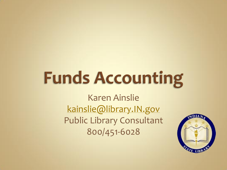# **Funds Accounting**

Karen Ainslie [kainslie@library.IN.gov](mailto:klainslie@library.IN.gov) Public Library Consultant 800/451-6028

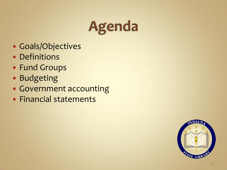

- Goals/Objectives
- Definitions
- Fund Groups
- Budgeting
- Government accounting
- Financial statements

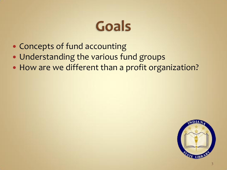#### Goals

- Concepts of fund accounting
- Understanding the various fund groups
- How are we different than a profit organization?

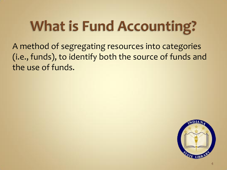### **What is Fund Accounting?**

A method of segregating resources into categories (i.e., funds), to identify both the source of funds and the use of funds.

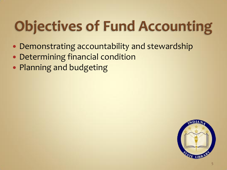## **Objectives of Fund Accounting**

- Demonstrating accountability and stewardship
- Determining financial condition
- Planning and budgeting

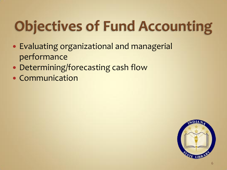## **Objectives of Fund Accounting**

- Evaluating organizational and managerial performance
- Determining/forecasting cash flow
- Communication

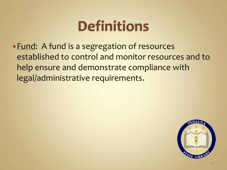#### **Definitions**

• Fund: A fund is a segregation of resources established to control and monitor resources and to help ensure and demonstrate compliance with legal/administrative requirements.

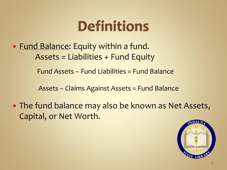#### **Definitions**

• Fund Balance: Equity within a fund. Assets = Liabilities + Fund Equity

Fund Assets – Fund Liabilities = Fund Balance

Assets – Claims Against Assets = Fund Balance

 The fund balance may also be known as Net Assets, Capital, or Net Worth.

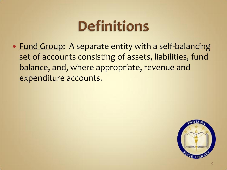#### **Definitions**

• Fund Group: A separate entity with a self-balancing set of accounts consisting of assets, liabilities, fund balance, and, where appropriate, revenue and expenditure accounts.

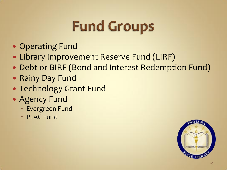### **Fund Groups**

- Operating Fund
- Library Improvement Reserve Fund (LIRF)
- Debt or BIRF (Bond and Interest Redemption Fund)
- Rainy Day Fund
- Technology Grant Fund
- Agency Fund
	- Evergreen Fund
	- **PLAC Fund**

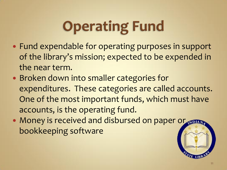## **Operating Fund**

- Fund expendable for operating purposes in support of the library's mission; expected to be expended in the near term.
- Broken down into smaller categories for expenditures. These categories are called accounts. One of the most important funds, which must have accounts, is the operating fund.
- Money is received and disbursed on paper or bookkeeping software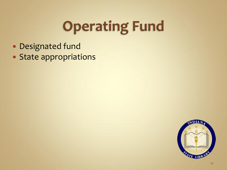## **Operating Fund**

- Designated fund
- State appropriations

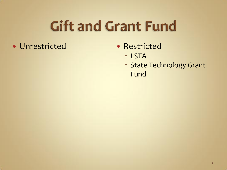#### **Gift and Grant Fund**

- Unrestricted Restricted
- - LSTA
	- **State Technology Grant** Fund